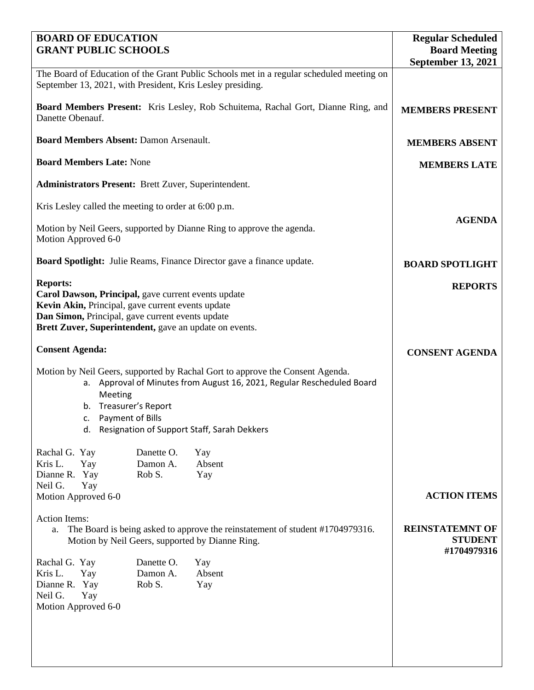| <b>BOARD OF EDUCATION</b>                                                                                                                                                                                                                                                  | <b>Regular Scheduled</b>                                |                     |
|----------------------------------------------------------------------------------------------------------------------------------------------------------------------------------------------------------------------------------------------------------------------------|---------------------------------------------------------|---------------------|
| <b>GRANT PUBLIC SCHOOLS</b>                                                                                                                                                                                                                                                | <b>Board Meeting</b><br><b>September 13, 2021</b>       |                     |
| The Board of Education of the Grant Public Schools met in a regular scheduled meeting on<br>September 13, 2021, with President, Kris Lesley presiding.                                                                                                                     |                                                         |                     |
| <b>Board Members Present:</b> Kris Lesley, Rob Schuitema, Rachal Gort, Dianne Ring, and<br>Danette Obenauf.                                                                                                                                                                | <b>MEMBERS PRESENT</b>                                  |                     |
| <b>Board Members Absent: Damon Arsenault.</b>                                                                                                                                                                                                                              | <b>MEMBERS ABSENT</b>                                   |                     |
| <b>Board Members Late: None</b>                                                                                                                                                                                                                                            | <b>MEMBERS LATE</b>                                     |                     |
| <b>Administrators Present:</b> Brett Zuver, Superintendent.                                                                                                                                                                                                                |                                                         |                     |
| Kris Lesley called the meeting to order at 6:00 p.m.                                                                                                                                                                                                                       |                                                         |                     |
| Motion by Neil Geers, supported by Dianne Ring to approve the agenda.<br>Motion Approved 6-0                                                                                                                                                                               | <b>AGENDA</b>                                           |                     |
| <b>Board Spotlight:</b> Julie Reams, Finance Director gave a finance update.                                                                                                                                                                                               | <b>BOARD SPOTLIGHT</b>                                  |                     |
| <b>Reports:</b><br>Carol Dawson, Principal, gave current events update<br>Kevin Akin, Principal, gave current events update<br>Dan Simon, Principal, gave current events update<br>Brett Zuver, Superintendent, gave an update on events.                                  | <b>REPORTS</b>                                          |                     |
| <b>Consent Agenda:</b>                                                                                                                                                                                                                                                     | <b>CONSENT AGENDA</b>                                   |                     |
| Motion by Neil Geers, supported by Rachal Gort to approve the Consent Agenda.<br>a. Approval of Minutes from August 16, 2021, Regular Rescheduled Board<br>Meeting<br>Treasurer's Report<br>b.<br>Payment of Bills<br>C.<br>d. Resignation of Support Staff, Sarah Dekkers |                                                         |                     |
| Rachal G. Yay                                                                                                                                                                                                                                                              | Danette O.<br>Yay                                       |                     |
| Kris L.<br>Yay<br>Dianne R. Yay<br>Rob S.                                                                                                                                                                                                                                  | Damon A.<br>Absent<br>Yay                               |                     |
| Neil G.<br>Yay<br>Motion Approved 6-0                                                                                                                                                                                                                                      |                                                         | <b>ACTION ITEMS</b> |
| <b>Action Items:</b><br>The Board is being asked to approve the reinstatement of student #1704979316.<br>а.<br>Motion by Neil Geers, supported by Dianne Ring.                                                                                                             | <b>REINSTATEMNT OF</b><br><b>STUDENT</b><br>#1704979316 |                     |
| Rachal G. Yay<br>Kris L.<br>Yay<br>Dianne R. Yay<br>Rob S.<br>Neil G.<br>Yay<br>Motion Approved 6-0                                                                                                                                                                        | Danette O.<br>Yay<br>Absent<br>Damon A.<br>Yay          |                     |